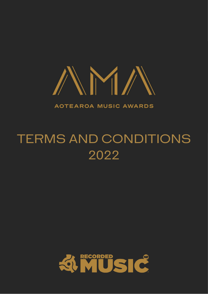

**AOTEAROA MUSIC AWARDS** 

# TERMS AND CONDITIONS 2022

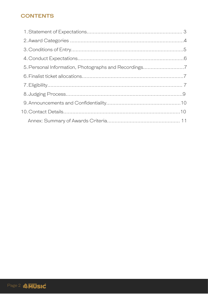# **CONTENTS**

| 5. Personal Information, Photographs and Recordings7 |  |
|------------------------------------------------------|--|
|                                                      |  |
|                                                      |  |
|                                                      |  |
|                                                      |  |
|                                                      |  |
|                                                      |  |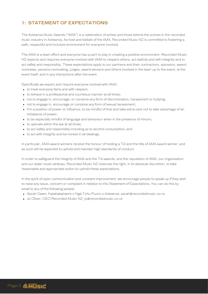# **1: STATEMENT OF EXPECTATIONS**

The Aotearoa Music Awards ("AMA") is a celebration of artists and those behind the scenes in the recorded music industry in Aotearoa. As host and kaitiaki of the AMA, Recorded Music NZ is committed to fostering a safe, respectful and inclusive environment for everyone involved.

The AMA is a team effort and everyone has a part to play in creating a positive environment. Recorded Music NZ expects and requires everyone involved with AMA to respect others, act lawfully and with integrity and to act safely and responsibly. These expectations apply to our partners and their contractors, sponsors, award nominees, persons nominating, judges, award winners and others involved in the lead-up to the event, at the event itself, and in any interactions after the event.

Specifically we expect and require everyone involved with AMA:

- to treat everyone fairly and with respect;
- to behave in a professional and courteous manner at all times;
- not to engage in, encourage, or condone any form of discrimination, harassment or bullying;
- not to engage in, encourage or condone any form of sexual harassment;
- if in a position of power or influence, to be mindful of that and take extra care not to take advantage of an imbalance of power;
- to be especially mindful of language and behaviour when in the presence of minors;
- to operate within the law at all times;
- to act safely and responsibly including as to alcohol consumption; and
- to act with integrity and be honest in all dealings.

In particular, AMA award winners receive the honour of holding a Tūī and the title of AMA award winner, and as such will be expected to uphold and maintain high standards of conduct.

In order to safeguard the integrity of AMA and the Tūī awards, and the reputation of AMA, our organisation and our wider music whānau, Recorded Music NZ reserves the right, in its absolute discretion, to take reasonable and appropriate action to uphold these expectations.

In the spirit of open communication and constant improvement, we encourage people to speak up if they wish to raise any issue, concern or complaint in relation to this Statement of Expectations. You can do this by email to any of the following people:

- Sarah Owen, Kaiwhakahaere o Ngā Tohu Puoro o Aotearoa: sarah@recordedmusic.co.nz
- Jo Oliver, CEO Recorded Music NZ: [jo@recordedmusic.co.nz](mailto:jo@recordedmusic.co.nz)

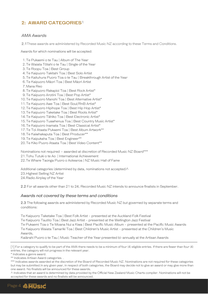# **2: AWARD CATEGORIES** 1

#### *AMA Awards*

2.1These awards are administered by Recorded Music NZ according to these Terms and Conditions.

Awards for which nominations will be accepted:

- 1. Te Pukaemi o te Tau | Album of The Year
- 2. Le Waiata Tōtahi o te Tau | Single of the Year
- 3. Te Roopu Toa | Best Group
- 4. Te Kaipuoro Takitahi Toa | Best Solo Artist
- 5. Te Kaituhura Puoro Toa o te Tau | Breakthrough Artist of the Year
- 6. Te Kaipuoro Māori Toa | Best Māori Artist
- 7. Mana Reo
- 8. Te Kaipuoro Rakapioi Toa | Best Rock Artist\*
- 9. Te Kaipuoro Arotini Toa | Best Pop Artist\* I
- 10. Te Kaipuoro Manohi Toa | Best Alternative Artist\*
- 11. Te Kaipuoro Awe Toa | Best Soul/RnB Artist\*
- 12. Te Kaipuoro Hipihope Toa | Best Hip Hop Artist\*
- 13. Te Kaipuoro Taketake Toa | Best Roots Artist\*
- Te Kaipuoro Tāhiko Toa | Best Electronic Artist\* 14.
- Te Kaipuoro Tuawhenua Toa | Best Country Music Artist\* 15.
- 16. Te Kaipuoro Inamata Toa | Best Classical Artist\*
- 17. Te Toi Ataata Pukaemi Toa | Best Album Artwork\*\*
- 18. Te Kaiwhakaputa Toa | Best Producer\*\*
- 19. Te Kaipukaha Toa | Best Engineer\*\*
- 20.Te Kiko Puoro Ataata Toa | Best Video Content\*\*

Nominations not required – awarded at discretion of Recorded Music NZ Board\*\*\* 21. Tohu Tutuki o te Ao | International Achievement

22.Te Whare Taonga Puoro o Aotearoa | NZ Music Hall of Fame

Additional categories (determined by data, nominations not accepted) $\wedge$ 23.Highest Selling NZ Artist 24.Radio Airplay of the Year

2.2 For all awards other than 21 to 24, Recorded Music NZ intends to announce finalists in September.

#### *Awards not covered by these terms and conditions*

2.3 The following awards are administered by Recorded Music NZ but governed by separate terms and conditions:

Te Kaipuoro Taketake Toa | Best Folk Artist - presented at the Auckland Folk Festival

Te Kaipuoro Tautito Toa | Best Jazz Artist - presented at the Wellington Jazz Festival

Te Pukaemi Toa o Te Moana Nui a Kiwa | Best Pacific Music Album - presented at the Pacific Music Awards

Te Kaipuoro Waiata Tamariki Toa | Best Children's Music Artist - presented at the Children's Music Awards,

Kaiārahi Puoro o te Tau | Music Teacher of the Year presented bi-annually at the Artisan Awards

[1] For a category to qualify to be part of the AMA there needs to be a minimum of four (4) eligible entries. If there are fewer than four (4) entries, the category will not progress in the relevant year.

\* Indicates a genre award.

\*\* Indicates Artisan Award categories. .

\*\*\* Indicates awards awarded at the discretion of the Board of Recorded Music NZ. Nominations are not required for these categories but may be submitted.In any given year, in respect of both categories, the Board may decide not to give an award or may give more than one award. No finalists will be announced for these awards.

^ Indicates that an award is determined by data provided by the Official New Zealand Music Charts compiler. Nominations will not be accepted for these awards and no finalists will be announced.

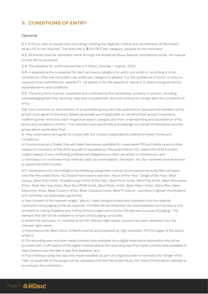## **3: CONDITIONS OF ENTRY**

#### *General*

3.1 Entry is open to people and recordings meeting the eligibility criteria and membership of Recorded Music NZ is not required. The entry fee is \$20+GST per category, payable by the nominator.

3.2 All entries must be submitted online through the Aotearoa Music Awards nominations portal. No manual entries will be accepted.

3.3 The deadline for confirmed entries is 5.00pm, Monday 1 August, 2022.

3.4 A separate entry is required for each and every category for which any artist or recording is to be considered. Only one nomination per artist per category is allowed. For the avoidance of doubt no entry is required to be submitted for awards 21-24 above or for the awards at clause 2.3, which are governed by separate terms and conditions.

3.5 The entry form must be completed and confirmed by the nominating company or person, including acknowledging that they have fully read and complied with (and will continue to comply with) the conditions of entry.

3.6 Each nominee (or one member of a nominated group who has authority to represent all members of the group) must agree to the entry details personally and if applicable on behalf of their group's members, confirming their entry into each respective award category and their understanding and acceptance of the terms and conditions of entry. The nominee must specifically acknowledge (on behalf of themselves and the group where applicable) that:

a) they understand and agree to comply with the conduct expectations outlined in these Terms and Conditions;

b) if announced as a finalist they will make themselves available for reasonable PR and media opportunities related to promotion of the AMA and will (if requested by Recorded Music NZ) attend the AMA function, subject always to any conflicting professional obligations or other personal circumstances; and c) nominators or nominees must meet all costs (accommodation, transport, etc) for nominees and personnel to attend the AMA function.

3.7 Nominations for recordings in the following categories must be accompanied by audio files uploaded onto the Recorded Music NZ Award Nominations website: Album of the Year, Single of the Year, Best Group, Best Solo Artist, Breakthrough Artist of the Year, Best Rock Artist, Best Pop Artist, Best Alternative Artist, Best Hip Hop Artist, Best Soul/RnB Artist, Best Roots Artist, Best Māori Artist, Mana Reo, Best Electronic Artist, Best Country Artist, Best Classical Artist, Best Producer, and Best Engineer.Nominators and nominees (as applicable) agree that:

a) they consent to the relevant single / album / video being encoded and uploaded onto the Awards nomination and judging portal as required. The files will be streamed (not downloadable) and access is only provided to Voting Academy and Voting School judges and only for the express purpose of judging. The relevant files will not be available to stream once judging concludes;

b) where the nominator or nominee is not the relevant right owner consent has been obtained from the relevant right owner;

c) Nominations for Best Album Artwork must be accompanied by high resolution JPEG images of the album artwork;

d) If a recording was only ever made commercially available via a digital retail store information should be provided with confirmation of the digital channel where the recording was first made commercially available in New Zealand and the date it was first available; and

e) If an individual song that was only made available as part of a digital bundle is nominated for Single of the Year, an audio file of the song must be uploaded onto the Recorded Music NZ Award Nominations website to accompany the nomination.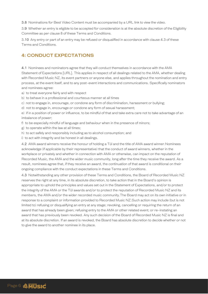3.8 Nominations for Best Video Content must be accompanied by a URL link to view the video.

3.9 Whether an entry is eligible to be accepted for consideration is at the absolute discretion of the Eligibility Committee as per clause 8 of these Terms and Conditions.

3.10 Any entry or part of an entry may be refused or disqualified in accordance with clause 4.3 of these Terms and Conditions.

## **4: CONDUCT EXPECTATIONS**

4.1 Nominees and nominators agree that they will conduct themselves in accordance with the AMA Statement of Expectations [URL]. This applies in respect of all dealings related to the AMA, whether dealing with Recorded Music NZ, its event partners or anyone else, and applies throughout the nomination and entry process, at the event itself, and to any post-event interactions and communications. Specifically nominators and nominees agree:

- a) to treat everyone fairly and with respect
- b) to behave in a professional and courteous manner at all times
- c) not to engage in, encourage, or condone any form of discrimination, harassment or bullying;
- d) not to engage in, encourage or condone any form of sexual harassment;

e) if in a position of power or influence, to be mindful of that and take extra care not to take advantage of an imbalance of power;

- f) to be especially mindful of language and behaviour when in the presence of minors;
- g) to operate within the law at all times;
- h) to act safely and responsibly including as to alcohol consumption; and
- i) to act with integrity and be honest in all dealings.

4.2 AMA award winners receive the honour of holding a Tūī and the title of AMA award winner.Nominees acknowledge (if applicable by their representative) that the conduct of award winners, whether in the workplace or privately and whether in connection with AMA or otherwise, can impact on the reputation of Recorded Music, the AMA and the wider music community, long after the time they receive the award. As a result, nominees agree that, if they receive an award, the continuation of that award is conditional on their ongoing compliance with the conduct expectations in these Terms and Conditions.

4.3 Notwithstanding any other provision of these Terms and Conditions, the Board of Recorded Music NZ reserves the right at any time, in its absolute discretion, to take action that in the Board's opinion is appropriate to uphold the principles and values set out in the Statement of Expectations, and/or to protect the integrity of the AMA or the Tūī awards and/or to protect the reputation of Recorded Music NZ and its members, the AMA and/or the wider recorded music community.The Board may act on its own initiative or in response to a complaint or information provided to Recorded Music NZ.Such action may include (but is not limited to) refusing or disqualifying an entry at any stage; revoking, cancelling or requiring the return of an award that has already been given; refusing entry to the AMA or other related event; or re-instating an award that has previously been revoked. Any such decision of the Board of Recorded Music NZ is final and at its absolute discretion. If an award is revoked, the Board has absolute discretion to decide whether or not to give the award to another nominee in its place.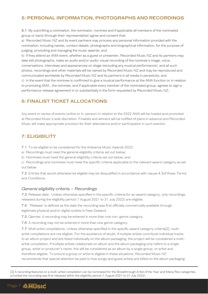## **5: PERSONAL INFORMATION, PHOTOGRAPHS AND RECORDINGS**

5.1 By submitting a nomination, the nominator, nominee and if applicable all members of the nominated group or band (through their representative) agree and consent that:

a) Recorded Music NZ and its event partners may process any personal information provided with the nomination, including names, contact details, photographs and biographical information, for the purpose of judging, promoting and managing the music awards; and

b) if they attend an AMA event, whether as a guest or presenter, Recorded Music NZ and its partners may take still photographs, make an audio and/or audio-visual recording of the nominee's image, voice, conversations, interviews and appearances on stage (excluding any musical performance); and all such photos, recordings and other materials will be owned by Recorded Music NZ and may be reproduced and communicated worldwide by Recorded Music NZ and its partners in all media in perpetuity; and c) in the event that the nominee is confirmed to give a musical performance at the AMA function or in relation to promoting AMA , the nominee, and if applicable every member of the nominated group, agrees to sign a performance release agreement in or substantially in the form requested by Recorded Music NZ.

## **6: FINALIST TICKET ALLOCATIONS**

Any event or series of events (online or in-person) in relation to the 2022 AMA will be hosted and promoted at Recorded Music's sole discretion. Finalists and winners will be notified of plans in advance and Recorded Music will make appropriate provision for their attendance and/or participation in such event(s).

## **7: ELIGIBILITY**

7.1 To be eligible to be considered for the Aotearoa Music Awards 2022:

a) Recordings must meet the general eligibility criteria set out below;

b) Nominees must meet the general eligibility criteria set out below; and

c) Recordings and nominees must meet the specific criteria applicable to the relevant award category as set out below.

7.2 Entries that would otherwise be eligible may be disqualified in accordance with clause 4.3of these Terms and Conditions.

#### *General eligibility criteria – Recordings*

*7*.3 Release date: Unless otherwise specified in the specific criteria for an award category, only recordings released during the eligibility period (1 August 2021 to 31 July 2022) are eligible.

7.4 'Release' is defined as the date the recording was first officially commercially available through legitimate physical and/or digital outlets in New Zealand.

7.5 Genres: A recording may be entered in more than one non-genre category.

7.6 A recording may not be entered in more than one genre category.

7.7 Multi artist compilations: Unless otherwise specified in the specific award category criteria[2], multiartist compilations are not eligible. For the avoidance of doubt, if multiple artists contribute individual tracks to an album project and are listed individually on the album packaging, the project will be considered a multiartist compilation. If multiple artists collaborate on album and the album packaging only refers to a single group, artist or producer's name, this will be considered as an album by a single group, or artist and therefore eligible. To ensure a group or artist is eligible in these situations, Recorded Music NZ recommends that special attention be paid to how songs and guest artists are billed on the album packaging.

[2] A recording featured on a multi-artist compilation can be nominated for the Breakthrough Artist of the Year and Mana Reo categories, provided the recording was first released within the eligibility period (1 August 2021 to 31 July 2022).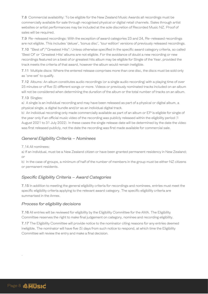7.8 Commercial availability: To be eligible for the New Zealand Music Awards all recordings must be commercially available for sale through recognised physical or digital retail channels. Sales through artist websites or artist performances may be included at the sole discretion of Recorded Music NZ. Proof of sales will be required.

7.9 Re-released recordings: With the exception of award categories 23 and 24, Re-released recordings are not eligible. This includes 'deluxe', 'bonus disc', 'tour edition' versions of previously released recordings.

7.10 "Best of"/"Greatest Hits": Unless otherwise specified in the specific award category criteria, so called 'Best Of' or 'Greatest Hits' albums are not eligible. For the avoidance of doubt a new recording or new recordings featured on a best of or greatest hits album may be eligible for Single of the Year, provided the track meets the criteria of that award, however the album would remain ineligible.

7.11 Multiple discs: Where the entered release comprises more than one disc, the discs must be sold only as 'one set' to qualify.

7.12 Albums: An album constitutes audio recordings (or a single audio recording) with a playing time of over 25 minutes or of five (5) different songs or more. Videos or previously nominated tracks included on an album will not be considered when determining the duration of the album or the total number of tracks on an album.

7.13 Singles:

a) A single is an individual recording and may have been released as part of a physical or digital album, a physical single, a digital bundle and/or as an individual digital track.

b) An individual recording only made commercially available as part of an album or EP is eligible for single of the year only if an official music video of the recording was publicly released within the eligibility period (1 August 2021 to 31 July 2022). In these cases the single release date will be determined by the date the video was first released publicly, not the date the recording was first made available for commercial sale.

#### *General Eligibility Criteria – Nominees*

7.14 All nominees:

a) If an individual, must be a New Zealand citizen or have been granted permanent residency in New Zealand; or

b) In the case of groups, a minimum of half of the number of members in the group must be either NZ citizens or permanent residents.

#### *Specific Eligibility Criteria – Award Categories*

7.15 In addition to meeting the general eligibility criteria for recordings and nominees, entries must meet the specific eligibility criteria applying to the relevant award category. The specific eligibility criteria are summarised in the Annex.

#### *Process for eligibility decisions*

7.16 All entries will be reviewed for eligibility by the Eligibility Committee for the AMA. The Eligibility Committee reserves the right to make final judgement on category, nominee and recording eligibility.

7.17 The Eligibility Committee will provide notice to the nominator citing reasons for any entries deemed ineligible. The nominator will have five (5) days from such notice to respond, at which time the Eligibility Committee will review the entry and make a final decision.

.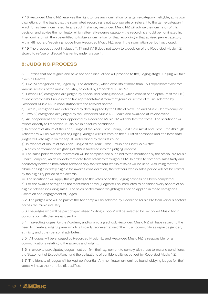7.18 Recorded Music NZ reserves the right to rule any nomination for a genre category ineligible, at its own discretion, on the basis that the nominated recording is not appropriate or relevant to the genre category in which it has been nominated. In any such instance, Recorded Music NZ will advise the nominator of this decision and advise the nominator which alternative genre category the recording should be nominated in.<br>The nominator will then be entitled to lodge a nomination for that recording in that advised genre category within 48 hours of receiving notice from Recorded Music NZ, even if the nomination period has closed.

7.19 The process set out in clause 7.17 and 7.18 does not apply to a decision of the Recorded Music NZ Board to refuse or disqualify an entry under clause 4.

## **8: JUDGING PROCESS**

8.1 Entries that are eligible and have not been disqualified will proceed to the judging stage.Judging will take place as follows:

a) Five (5) categories are judged by 'The Academy', which consists of more than 150 representatives from various sectors of the music industry, selected by Recorded Music NZ.

b) Fifteen (15) categories are judged by specialised 'voting schools', which consist of an optimum of ten (10) representatives (but no less than five representatives) from that genre or sector of music selected by Recorded Music NZ in consultation with the relevant sector.

c) Two (2) categories are determined by data supplied by the Official New Zealand Music Charts compiler.

d) Two (2) categories are judged by the Recorded Music NZ Board and awarded at its discretion.

e) An independent scrutineer appointed by Recorded Music NZ will tabulate the votes. The scrutineer will report directly to Recorded Music NZ in absolute confidence.

f) In respect of Album of the Year, Single of the Year, Best Group, Best Solo Artist and Best Breakthrough Artist there will be two stages of judging. Judges will first vote on the full list of nominees and at a later date judges will vote again on the top 10 determined by the first round.

g) In respect of Album of the Year, Single of the Year, Best Group and Best Solo Artist:

i) A sales performance weighting of 30% is factored into the judging process.

ii) The sales performance information will be compiled and supplied to the scrutineer by the official NZ Music Chart Compiler, which collects that data from retailers throughout NZ. In order to compare sales fairly and accurately between nominated releases only the first four weeks ofsales will be used. Assuming that the album or single is firstly eligible for awards consideration, the first four weeks sales period will not be limited by the eligibility period of the awards.

iii) The scrutineer will apply this weighting to the votes once the judging process has been completed.

h) For the awards categories not mentioned above, judges will be instructed to consider every aspect of an eligible release including sales. The sales performance weighting will not be applied in those categories. Selection and engagement of judges

8.2 The judges who will be part of the Academy will be selected by Recorded Music NZ from various sectors across the music industry.

8.3 The judges who will be part of specialised "voting schools" will be selected by Recorded Music NZ in consultation with the relevant sector.

8.4 In selecting judges for the Academy and/or a voting school, Recorded Music NZ will have regard to the need to create a judging panel which is broadly representative of the music community as regards gender, ethnicity and other personal attributes.

8.5 All judges will be engaged by Recorded Music NZ and Recorded Music NZ is responsible for all communications relating to the awards and judging.

8.6 In order to participate, judges must confirm their agreement to comply with these terms and conditions, the Statement of Expectations, and the obligations of confidentiality as set out by Recorded Music NZ.

8.7 The identity of judges will be kept confidential. Any nominator or nominee found lobbying judges for their votes will have their entries disqualified.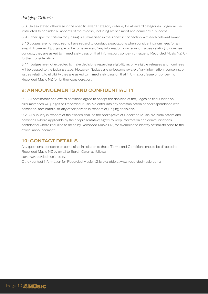## *Judging Criteria*

8.8 Unless stated otherwise in the specific award category criteria, for all award categories judges will be instructed to consider all aspects of the release, including artistic merit and commercial success.

8.9 Other specific criteria for judging is summarised in the Annex in connection with each relevant award.

8.10 Judges are not required to have regard to conduct expectations when considering nominees for an award. However if judges are or become aware of any information, concerns or issues relating to nominee conduct, they are asked to immediately pass on that information, concern or issue to Recorded Music NZ for further consideration.

8.11 Judges are not expected to make decisions regarding eligibility as only eligible releases and nominees will be passed to the judging stage. However if judges are or become aware of any information, concerns, or issues relating to eligibility they are asked to immediately pass on that information, issue or concern to Recorded Music NZ for further consideration.

## **9: ANNOUNCEMENTS AND CONFIDENTIALITY**

9.1 All nominators and award nominees agree to accept the decision of the judges as final.Under no circumstances will judges or Recorded Music NZ enter into any communication or correspondence with nominees, nominators, or any other person in respect of judging decisions.

9.2 All publicity in respect of the awards shall be the prerogative of Recorded Music NZ.Nominators and nominees (where applicable by their representative) agree to keep information and communications confidential where required to do so by Recorded Music NZ, for example the identity of finalists prior to the official announcement.

## **10: CONTACT DETAILS**

Any questions, concerns or complaints in relation to these Terms and Conditions should be directed to Recorded Music NZ by email to Sarah Owen as follows:

[sarah@recordedmusic.co.nz.](mailto:sarah@recordedmusic.co.nz)

Other contact information for Recorded Music NZ is available at [www.recordedmusic.co.nz](http://www.recordedmusic.co.nz/)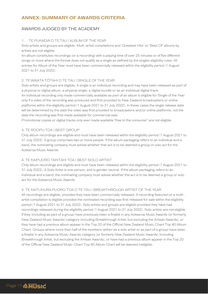## **ANNEX: SUMMARY OF AWARDS CRITERIA**

#### AWARDS JUDGED BY THE ACADEMY

#### 1. TE PUKAEMI O TE TAU | ALBUM OF THE YEAR

Solo artists and groups are eligible. Multi-artist compilations and 'Greatest Hits' or 'Best Of' albums by artists are not eligible.

An album constitutes recordings (or a recording) with a playing time of over 25 minutes or of five different songs or more where the format does not qualify as a single as defined by the singles eligibility rules. All entries for Album of the Year must have been commercially released within the eligibility period (1 August 2021 to 31 July 2022).

#### 2. TE WAIATA TŌTAHI O TE TAU | SINGLE OF THE YEAR

Solo artists and groups are eligible. A single is an individual recording and may have been released as part of a physical or digital album, a physical single, a digital bundle or as an individual digital track.

An individual recording only made commercially available as part of an album is eligible for Single of the Year only if a video of the recording was produced and first provided to New Zealand broadcasters or online platforms within the eligibility period (1 August 2021 to 31 July 2022). In these cases the single release date will be determined by the date the video was first provided to broadcasters and/or online platforms, not the date the recording was first made available for commercial sale.

Promotional copies or digital tracks only ever made available 'free to the consumer' are not eligible.

#### 3. TE ROOPU TOA | BEST GROUP

Only album recordings are eligible and must have been released within the eligibility period (1 August 2021 to 31 July 2022). A group comprises two or more people. If the album packaging refers to an individual and a band, the nominating company must advise whether that act is to be deemed a group or solo act for the Aotearoa Music Awards.

#### 4. TE KAIPUORO TAKITAHI TOA | BEST SOLO ARTIST

Only album recordings are eligible and must have been released within the eligibility period (1 August 2021 to 31 July 2022). A Solo Artist is one person, and is gender neutral. If the album packaging refers to an individual and a band, the nominating company must advise whether the act is to be deemed a group or solo act for the Aotearoa Music Awards.

#### 5. TE KAITUHURA PUORO TOA O TE TAU | BREAKTHROUGH ARTIST OF THE YEAR

All recordings are eligible, provided they have been commercially released. A recording featured on a multiartist compilation is eligible provided the nominated recording was first released for sale within the eligibility period (1 August 2021 to 31 July 2022). Solo artists and groups are eligible provided they have had recordings released during the eligibility period (1 August 2021 to 31 July 2022). Solo artists are not eligible if they (including as part of a group) have previously been a finalist in any Aotearoa Music Awards (or formerly New Zealand Music Awards) category (including Breakthrough Artist, but excluding the Artisan Awards), or they have had a previous album appear in the Top 20 of the Official New Zealand Music Chart Top 40 Album Chart. Groups where more than half of the members (either as a solo artist or as part of a group) have been a finalist in any Aotearoa Music Awards category (or formerly New Zealand Music Awards) (including Breakthrough Artist, but excluding the Artisan Awards), or have had a previous album appear in the Top 20 of the Official New Zealand Music Chart Top 40 Album Chart will be deemed ineligible.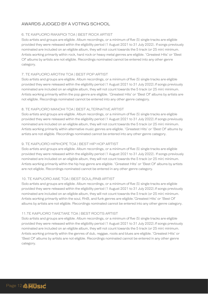## AWARDS JUDGED BY A VOTING SCHOOL

#### 6. TE KAIPUORO RAKAPIOI TOA | BEST ROCK ARTIST

Solo artists and groups are eligible. Album recordings, or a minimum of five (5) single tracks are eligible provided they were released within the eligibility period (1 August 2021 to 31 July 2022). If songs previously nominated are included on an eligible album, they will not count towards the 5 track (or 25 min) minimum. Artists working primarily within rock, hard rock or heavy metal genres are eligible. 'Greatest Hits' or 'Best Of' albums by artists are not eligible. Recordings nominated cannot be entered into any other genre category.

#### 7. TE KAIPUORO AROTINI TOA | BEST POP ARTIST

Solo artists and groups are eligible. Album recordings, or a minimum of five (5) single tracks are eligible provided they were released within the eligibility period (1 August 2021 to 31 July 2022).If songs previously nominated are included on an eligible album, they will not count towards the 5 track (or 25 min) minimum. Artists working primarily within the pop genre are eligible. 'Greatest Hits' or 'Best Of' albums by artists are not eligible. Recordings nominated cannot be entered into any other genre category.

#### 8. TE KAIPUORO MANOHI TOA | BEST ALTERNATIVE ARTIST

Solo artists and groups are eligible. Album recordings, or a minimum of five (5) single tracks are eligible provided they were released within the eligibility period (1 August 2021 to 31 July 2022).If songs previously nominated are included on an eligible album, they will not count towards the 5 track (or 25 min) minimum. Artists working primarily within alternative music genres are eligible. 'Greatest Hits' or 'Best Of' albums by artists are not eligible. Recordings nominated cannot be entered into any other genre category.

#### 9. TE KAIPUORO HIPIHOPE TOA | BEST HIP HOP ARTIST

Solo artists and groups are eligible. Album recordings, or a minimum of five (5) single tracks are eligible provided they were released within the eligibility period (1 August 2021 to 31 July 2022). If songs previously nominated are included on an eligible album, they will not count towards the 5 track (or 25 min) minimum. Artists working primarily within the hip hop genre are eligible. 'Greatest Hits' or 'Best Of' albums by artists are not eligible. Recordings nominated cannot be entered in any other genre category.

#### 10. TE KAIPUORO AWE TOA | BEST SOUL/RNB ARTIST

Solo artists and groups are eligible. Album recordings, or a minimum of five (5) single tracks are eligible provided they were released within the eligibility period (1 August 2021 to 31 July 2022).If songs previously nominated are included on an eligible album, they will not count towards the 5 track (or 25 min) minimum. Artists working primarily within the soul, RnB, and funk genres are eligible.'Greatest Hits' or 'Best Of' albums by artists are not eligible. Recordings nominated cannot be entered into any other genre category.

#### 11.TE KAIPUORO TAKETAKE TOA | BEST ROOTS ARTIST

Solo artists and groups are eligible. Album recordings, or a minimum of five (5) single tracks are eligible provided they were released within the eligibility period (1 August 2021 to 31 July 2022).If songs previously nominated are included on an eligible album, they will not count towards the 5 track (or 25 min) minimum. Artists working primarily within the genres of dub, reggae, roots and blues are eligible. 'Greatest Hits' or 'Best Of' albums by artists are not eligible. Recordings nominated cannot be entered in any other genre category.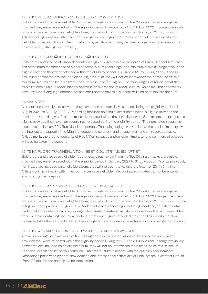#### 12.TE KAIPUORO TĀHIKO TOA | BEST ELECTRONIC ARTIST

Solo artists and groups are eligible. Album recordings, or a minimum of five (5) single tracks are eligible provided they were released within the eligibility period (1 August 2021 to 31 July 2022). If songs previously nominated are included on an eligible album, they will not count towards the 5 track (or 25 min) minimum. Artists working primarily within the electronic genre are eligible. Re-mixes of non-electronic artists are ineligible. 'Greatest Hits' or 'Best Of' albums by artists are not eligible. Recordings nominated cannot be entered in any other genre category.

#### 13.TE KAIPUORO MĀORI TOA | BEST MĀORI ARTIST

Solo artists and groups of Māori descent are eligible. A group is of considered of Māori descent if at least half of the band members are of Māori descent. Album recordings, or a minimum of five (5) single tracks are eligible provided they were released within the eligibility period (1 August 2021 to 31 July 2022).If songs previously nominated are included on an eligible album, they will not count towards the 5 track (or 25 min) minimum. Albums can be in Te Reo Māori, reo rua, and/or English. The main judging criterion is that the music reflects a unique Māori identity and/or is an expression of Māori culture, which may not necessarily have any Māori language content. Artistic merit and commercial success will also be taken into account.

#### 14.MANA REO

All recordings are eligible, provided they have been commercially released during the eligibility period (1 August 2021 to 31 July 2022). A recording featured on a multi-artist compilation is eligible provided the nominated recording was first commercially released within the eligibility period. Solo artists and groups are eligible provided they have had recordings released during the eligibility period. The nominated recording must have a minimum 50% Reo Māori component. The main judging criterion is that the music aims to grow the interest and appeal of the Māori language and culture in and through mainstream recorded music. Artistic merit, the artist's regularity of Reo Māori releases and/or commitment to, and commercial success will also be taken into account.

#### 15.TE KAIPUORO TUAWHENUA TOA | BEST COUNTRY MUSIC ARTIST

Solo artists and groups are eligible. Album recordings, or a minimum of five (5) single tracks are eligible provided they were released within the eligibility period (1 January 2021 to 31 July 2022). If songs previously nominated are included on an eligible album, they will not count towards the 5 track (or 25 min) minimum. Artists working primarily within the country genre are eligible . Recordings nominated cannot be entered in any other genre category.

#### 16.TE KAIPUORO INAMATA TOA | BEST CLASSICAL ARTIST

Solo artists and groups are eligible. Album recordings, or a minimum of five (5) single tracks are eligible provided they were released within the eligibility period (1 August 2021 to 31 July 2022).If songs previously nominated are included on an eligible album, they will not count towards the 5 track (or 25 min) minimum. This category encompasses all eligible New Zealand classical recordings, including vocal and/or instrumental, traditional and contemporary recordings. New Zealand featured artists or soloists involved with ensembles or orchestras containing non-New Zealand artists are eligible, provided the recording credits the New Zealander(s) as the featured artist(s). Recordings nominated cannot be entered in any other genre category.

#### 17.TE KAIWHAKAPUTA TOA | BEST PRODUCER (ARTISAN AWARD)

Album recordings, or a minimum of five (5) single tracks (by one or various artists/groups) are eligible provided they were released within the eligibility period (1 August 2021 to 31 July 2022). If songs previously nominated are included on an eligible album, they will not count towards the 5 track (or 25 min) minimum. Technical excellence is the only criterion. Entrants must be in accord with the eligibility requirements. Recordings performed by both New Zealand and international artists are eligible. Artists' 'Greatest Hits' or 'Best Of' albums are not eligible for nomination.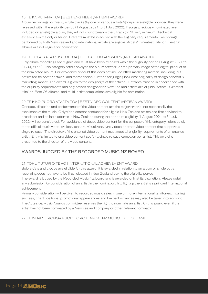#### 18.TE KAIPUKAHA TOA | BEST ENGINEER (ARTISAN AWARD)

Album recordings, or five (5) single tracks (by one or various artists/groups) are eligible provided they were released within the eligibility period (1 August 2021 to 31 July 2022). If songs previously nominated are included on an eligible album, they will not count towards the 5 track (or 25 min) minimum. Technical excellence is the only criterion. Entrants must be in accord with the eligibility requirements. Recordings performed by both New Zealand and international artists are eligible. Artists' 'Greatest Hits' or 'Best Of' albums are not eligible for nomination.

#### 19.TE TOI ATAATA PUKAEMI TOA | BEST ALBUM ARTWORK (ARTISAN AWARD)

Only album recordings are eligible and must have been released within the eligibility period (1 August 2021 to 31 July 2022). This category refers solely to the album artwork, or the primary image of the digital product of the nominated album. For avoidance of doubt this does not include other marketing material including (but not limited to) poster artwork and merchandise. Criteria for judging includes: originality of design concept & marketing impact. The award is given to the designer/s of the artwork. Entrants must be in accordance with the eligibility requirements and only covers designed for New Zealand artists are eligible. Artists' 'Greatest Hits' or 'Best Of' albums, and multi-artist compilations are eligible for nomination.

#### 20.TE KIKO PUORO ATAATA TOA | BEST VIDEO CONTENT (ARTISAN AWARD)

Concept, direction and performance of the video content are the major criteria, not necessarily the excellence of the music. Only video content produced for eligible New Zealand artists and first serviced to broadcast and online platforms in New Zealand during the period of eligibility (1 August 2021 to 31 July 2022) will be considered. For avoidance of doubt video content for the purpose of this category refers solely to the official music video, trailers, teasers, visualizers, lyric videos or other video content that supports a single release. The director of the entered video content must meet all eligibility requirements of an entered artist. Entry is limited to one video content set for a single release campaign per artist. This award is presented to the director of the video content.

#### AWARDS JUDGED BY THE RECORDED MUSIC NZ BOARD

#### 21.TOHU TUTUKI O TE AO | INTERNATIONAL ACHIEVEMENT AWARD

Solo artists and groups are eligible for this award. It is awarded in relation to an album or single but a recording does not have to be first released in New Zealand during the eligibility period.

The award is judged by the Recorded Music NZ board and is awarded only at its discretion. Please detail any submission for consideration of an artist in the nomination, highlighting the artist's significant international achievement.

Primary consideration will be given to recorded music sales in one or more international territories. Touring success, chart positions, promotional appearances and live performances may also be taken into account. The Aotearoa Music Awards committee reserves the right to nominate an artist for this award even if the artist has not been nominated by a New Zealand company or other relevant nominator.

22.TE WHARE TAONGA PUORO O AOTEAROA | NZ MUSIC HALL OF FAME